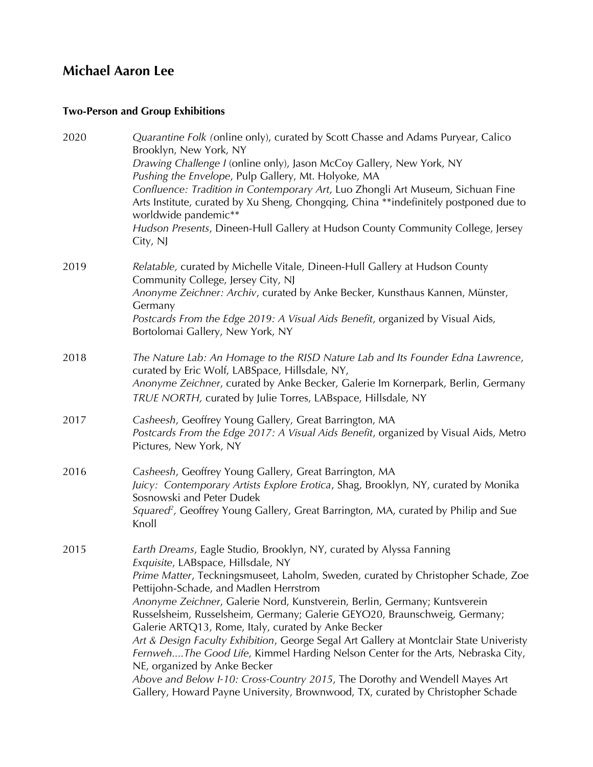# **Michael Aaron Lee**

# **Two-Person and Group Exhibitions**

| 2020 | Quarantine Folk (online only), curated by Scott Chasse and Adams Puryear, Calico<br>Brooklyn, New York, NY<br>Drawing Challenge I (online only), Jason McCoy Gallery, New York, NY<br>Pushing the Envelope, Pulp Gallery, Mt. Holyoke, MA<br>Confluence: Tradition in Contemporary Art, Luo Zhongli Art Museum, Sichuan Fine<br>Arts Institute, curated by Xu Sheng, Chongqing, China **indefinitely postponed due to<br>worldwide pandemic**<br>Hudson Presents, Dineen-Hull Gallery at Hudson County Community College, Jersey<br>City, NJ                                                                                                                                                                                                                                                                                             |
|------|------------------------------------------------------------------------------------------------------------------------------------------------------------------------------------------------------------------------------------------------------------------------------------------------------------------------------------------------------------------------------------------------------------------------------------------------------------------------------------------------------------------------------------------------------------------------------------------------------------------------------------------------------------------------------------------------------------------------------------------------------------------------------------------------------------------------------------------|
| 2019 | Relatable, curated by Michelle Vitale, Dineen-Hull Gallery at Hudson County<br>Community College, Jersey City, NJ<br>Anonyme Zeichner: Archiv, curated by Anke Becker, Kunsthaus Kannen, Münster,<br>Germany<br>Postcards From the Edge 2019: A Visual Aids Benefit, organized by Visual Aids,<br>Bortolomai Gallery, New York, NY                                                                                                                                                                                                                                                                                                                                                                                                                                                                                                       |
| 2018 | The Nature Lab: An Homage to the RISD Nature Lab and Its Founder Edna Lawrence,<br>curated by Eric Wolf, LABSpace, Hillsdale, NY,<br>Anonyme Zeichner, curated by Anke Becker, Galerie Im Kornerpark, Berlin, Germany<br>TRUE NORTH, curated by Julie Torres, LABspace, Hillsdale, NY                                                                                                                                                                                                                                                                                                                                                                                                                                                                                                                                                    |
| 2017 | Casheesh, Geoffrey Young Gallery, Great Barrington, MA<br>Postcards From the Edge 2017: A Visual Aids Benefit, organized by Visual Aids, Metro<br>Pictures, New York, NY                                                                                                                                                                                                                                                                                                                                                                                                                                                                                                                                                                                                                                                                 |
| 2016 | Casheesh, Geoffrey Young Gallery, Great Barrington, MA<br>Juicy: Contemporary Artists Explore Erotica, Shag, Brooklyn, NY, curated by Monika<br>Sosnowski and Peter Dudek<br>Squared <sup>2</sup> , Geoffrey Young Gallery, Great Barrington, MA, curated by Philip and Sue<br>Knoll                                                                                                                                                                                                                                                                                                                                                                                                                                                                                                                                                     |
| 2015 | Earth Dreams, Eagle Studio, Brooklyn, NY, curated by Alyssa Fanning<br>Exquisite, LABspace, Hillsdale, NY<br>Prime Matter, Teckningsmuseet, Laholm, Sweden, curated by Christopher Schade, Zoe<br>Pettijohn-Schade, and Madlen Herrstrom<br>Anonyme Zeichner, Galerie Nord, Kunstverein, Berlin, Germany; Kuntsverein<br>Russelsheim, Russelsheim, Germany; Galerie GEYO20, Braunschweig, Germany;<br>Galerie ARTQ13, Rome, Italy, curated by Anke Becker<br>Art & Design Faculty Exhibition, George Segal Art Gallery at Montclair State Univeristy<br>FernwehThe Good Life, Kimmel Harding Nelson Center for the Arts, Nebraska City,<br>NE, organized by Anke Becker<br>Above and Below I-10: Cross-Country 2015, The Dorothy and Wendell Mayes Art<br>Gallery, Howard Payne University, Brownwood, TX, curated by Christopher Schade |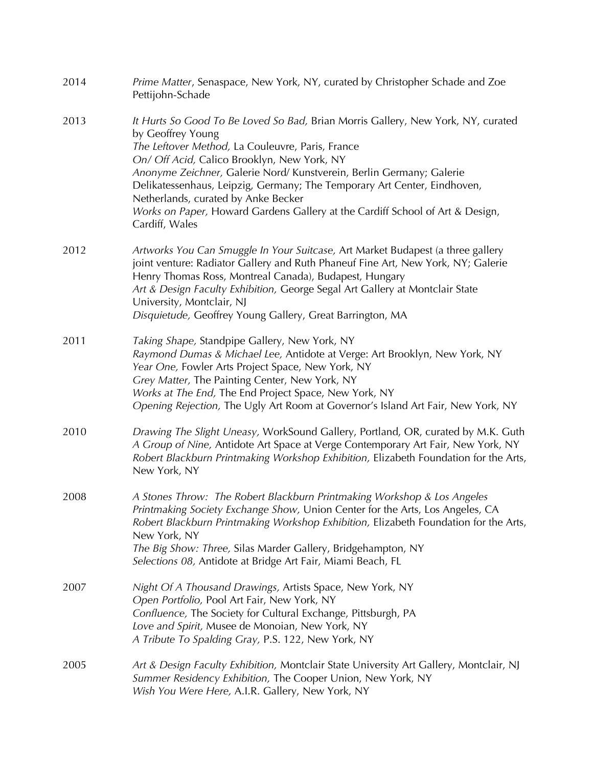| 2014 | Prime Matter, Senaspace, New York, NY, curated by Christopher Schade and Zoe<br>Pettijohn-Schade                                                                                                                                                                                                                                                                                                                                                                                                      |
|------|-------------------------------------------------------------------------------------------------------------------------------------------------------------------------------------------------------------------------------------------------------------------------------------------------------------------------------------------------------------------------------------------------------------------------------------------------------------------------------------------------------|
| 2013 | It Hurts So Good To Be Loved So Bad, Brian Morris Gallery, New York, NY, curated<br>by Geoffrey Young<br>The Leftover Method, La Couleuvre, Paris, France<br>On/ Off Acid, Calico Brooklyn, New York, NY<br>Anonyme Zeichner, Galerie Nord/Kunstverein, Berlin Germany; Galerie<br>Delikatessenhaus, Leipzig, Germany; The Temporary Art Center, Eindhoven,<br>Netherlands, curated by Anke Becker<br>Works on Paper, Howard Gardens Gallery at the Cardiff School of Art & Design,<br>Cardiff, Wales |
| 2012 | Artworks You Can Smuggle In Your Suitcase, Art Market Budapest (a three gallery<br>joint venture: Radiator Gallery and Ruth Phaneuf Fine Art, New York, NY; Galerie<br>Henry Thomas Ross, Montreal Canada), Budapest, Hungary<br>Art & Design Faculty Exhibition, George Segal Art Gallery at Montclair State<br>University, Montclair, NJ<br>Disquietude, Geoffrey Young Gallery, Great Barrington, MA                                                                                               |
| 2011 | Taking Shape, Standpipe Gallery, New York, NY<br>Raymond Dumas & Michael Lee, Antidote at Verge: Art Brooklyn, New York, NY<br>Year One, Fowler Arts Project Space, New York, NY<br>Grey Matter, The Painting Center, New York, NY<br>Works at The End, The End Project Space, New York, NY<br>Opening Rejection, The Ugly Art Room at Governor's Island Art Fair, New York, NY                                                                                                                       |
| 2010 | Drawing The Slight Uneasy, WorkSound Gallery, Portland, OR, curated by M.K. Guth<br>A Group of Nine, Antidote Art Space at Verge Contemporary Art Fair, New York, NY<br>Robert Blackburn Printmaking Workshop Exhibition, Elizabeth Foundation for the Arts,<br>New York, NY                                                                                                                                                                                                                          |
| 2008 | A Stones Throw: The Robert Blackburn Printmaking Workshop & Los Angeles<br>Printmaking Society Exchange Show, Union Center for the Arts, Los Angeles, CA<br>Robert Blackburn Printmaking Workshop Exhibition, Elizabeth Foundation for the Arts,<br>New York, NY<br>The Big Show: Three, Silas Marder Gallery, Bridgehampton, NY<br>Selections 08, Antidote at Bridge Art Fair, Miami Beach, FL                                                                                                       |
| 2007 | Night Of A Thousand Drawings, Artists Space, New York, NY<br>Open Portfolio, Pool Art Fair, New York, NY<br>Confluence, The Society for Cultural Exchange, Pittsburgh, PA<br>Love and Spirit, Musee de Monoian, New York, NY<br>A Tribute To Spalding Gray, P.S. 122, New York, NY                                                                                                                                                                                                                    |
| 2005 | Art & Design Faculty Exhibition, Montclair State University Art Gallery, Montclair, NJ<br>Summer Residency Exhibition, The Cooper Union, New York, NY<br>Wish You Were Here, A.I.R. Gallery, New York, NY                                                                                                                                                                                                                                                                                             |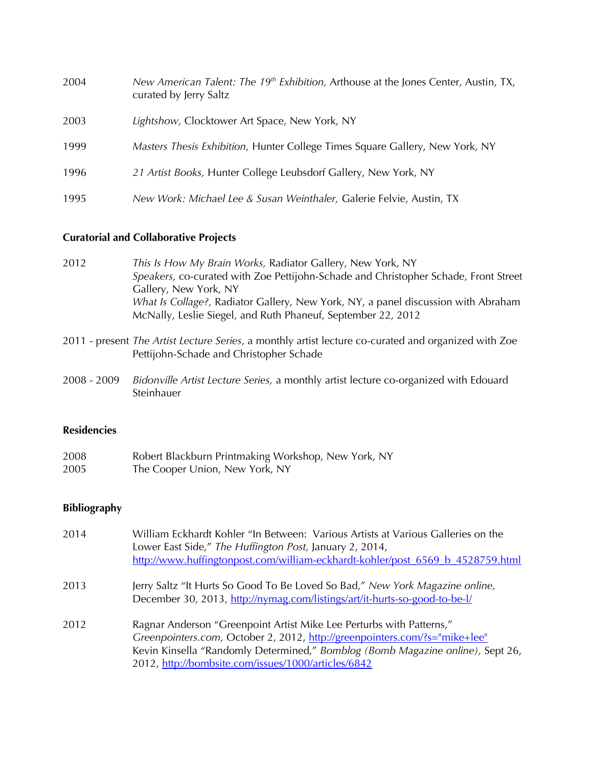| 2004 | New American Talent: The 19 <sup>th</sup> Exhibition, Arthouse at the Jones Center, Austin, TX,<br>curated by Jerry Saltz |
|------|---------------------------------------------------------------------------------------------------------------------------|
| 2003 | Lightshow, Clocktower Art Space, New York, NY                                                                             |
| 1999 | <i>Masters Thesis Exhibition, Hunter College Times Square Gallery, New York, NY</i>                                       |
| 1996 | 21 Artist Books, Hunter College Leubsdorf Gallery, New York, NY                                                           |
| 1995 | New Work: Michael Lee & Susan Weinthaler, Galerie Felvie, Austin, TX                                                      |

### **Curatorial and Collaborative Projects**

- 2012 *This Is How My Brain Works,* Radiator Gallery, New York, NY *Speakers,* co-curated with Zoe Pettijohn-Schade and Christopher Schade, Front Street Gallery, New York, NY *What Is Collage?,* Radiator Gallery, New York, NY, a panel discussion with Abraham McNally, Leslie Siegel, and Ruth Phaneuf, September 22, 2012
- 2011 present *The Artist Lecture Series*, a monthly artist lecture co-curated and organized with Zoe Pettijohn-Schade and Christopher Schade
- 2008 2009 *Bidonville Artist Lecture Series,* a monthly artist lecture co-organized with Edouard Steinhauer

#### **Residencies**

| 2008 | Robert Blackburn Printmaking Workshop, New York, NY |
|------|-----------------------------------------------------|
| 2005 | The Cooper Union, New York, NY                      |

## **Bibliography**

| 2014 | William Eckhardt Kohler "In Between: Various Artists at Various Galleries on the<br>Lower East Side," The Huffington Post, January 2, 2014,<br>http://www.huffingtonpost.com/william-eckhardt-kohler/post 6569 b 4528759.html                                                               |
|------|---------------------------------------------------------------------------------------------------------------------------------------------------------------------------------------------------------------------------------------------------------------------------------------------|
| 2013 | Jerry Saltz "It Hurts So Good To Be Loved So Bad," New York Magazine online,<br>December 30, 2013, http://nymag.com/listings/art/it-hurts-so-good-to-be-l/                                                                                                                                  |
| 2012 | Ragnar Anderson "Greenpoint Artist Mike Lee Perturbs with Patterns,"<br>Greenpointers.com, October 2, 2012, http://greenpointers.com/?s="mike+lee"<br>Kevin Kinsella "Randomly Determined," Bomblog (Bomb Magazine online), Sept 26,<br>2012, http://bombsite.com/issues/1000/articles/6842 |